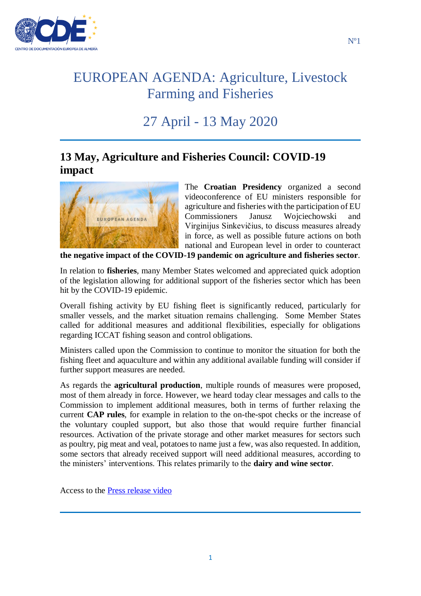

# 27 April - 13 May 2020

#### **13 May, Agriculture and Fisheries Council: COVID-19 impact**



The **Croatian Presidency** organized a second videoconference of EU ministers responsible for agriculture and fisheries with the participation of EU Commissioners Janusz Wojciechowski and Virginijus Sinkevičius, to discuss measures already in force, as well as possible future actions on both national and European level in order to counteract

**the negative impact of the COVID-19 pandemic on agriculture and fisheries sector**.

In relation to **fisheries**, many Member States welcomed and appreciated quick adoption of the legislation allowing for additional support of the fisheries sector which has been hit by the COVID-19 epidemic.

Overall fishing activity by EU fishing fleet is significantly reduced, particularly for smaller vessels, and the market situation remains challenging. Some Member States called for additional measures and additional flexibilities, especially for obligations regarding ICCAT fishing season and control obligations.

Ministers called upon the Commission to continue to monitor the situation for both the fishing fleet and aquaculture and within any additional available funding will consider if further support measures are needed.

As regards the **agricultural production**, multiple rounds of measures were proposed, most of them already in force. However, we heard today clear messages and calls to the Commission to implement additional measures, both in terms of further relaxing the current **CAP rules**, for example in relation to the on-the-spot checks or the increase of the voluntary coupled support, but also those that would require further financial resources. Activation of the private storage and other market measures for sectors such as poultry, pig meat and veal, potatoes to name just a few, was also requested. In addition, some sectors that already received support will need additional measures, according to the ministers' interventions. This relates primarily to the **dairy and wine sector**.

Access to the [Press release video](https://video.consilium.europa.eu/en/webcast/6055ec6c-2b43-4ffd-bc50-c4f7667cc521)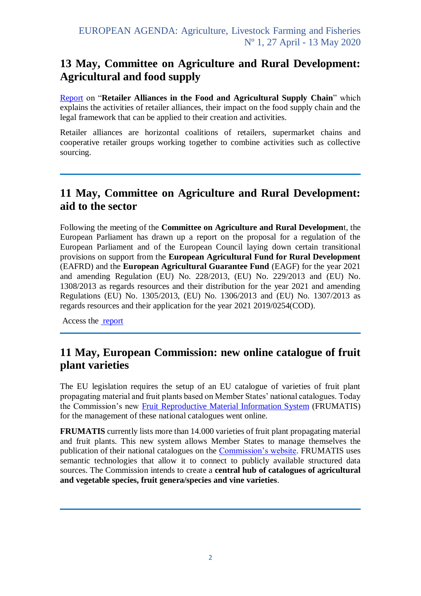#### **13 May, Committee on Agriculture and Rural Development: Agricultural and food supply**

[Report](https://www.cde.ual.es/ficha/retail-alliances-in-the-agricultural-and-food-supply-chain/) on "**Retailer Alliances in the Food and Agricultural Supply Chain**" which explains the activities of retailer alliances, their impact on the food supply chain and the legal framework that can be applied to their creation and activities.

Retailer alliances are horizontal coalitions of retailers, supermarket chains and cooperative retailer groups working together to combine activities such as collective sourcing.

### **11 May, Committee on Agriculture and Rural Development: aid to the sector**

Following the meeting of the **Committee on Agriculture and Rural Developmen**t, the European Parliament has drawn up a report on the proposal for a regulation of the European Parliament and of the European Council laying down certain transitional provisions on support from the **European Agricultural Fund for Rural Development** (EAFRD) and the **European Agricultural Guarantee Fund** (EAGF) for the year 2021 and amending Regulation (EU) No. 228/2013, (EU) No. 229/2013 and (EU) No. 1308/2013 as regards resources and their distribution for the year 2021 and amending Regulations (EU) No. 1305/2013, (EU) No. 1306/2013 and (EU) No. 1307/2013 as regards resources and their application for the year 2021 2019/0254(COD).

Access the [report](https://www.cde.ual.es/ficha/report-on-the-proposal-for-a-regulation-of-the-european-parliament-and-of-the-council-laying-down-certain-transitional-provisions-for-the-support-by-the-european-agricultural-fund-for-rural-developmen/)

#### **11 May, European Commission: new online catalogue of fruit plant varieties**

The EU legislation requires the setup of an EU catalogue of varieties of fruit plant propagating material and fruit plants based on Member States' national catalogues. Today the Commission's new [Fruit Reproductive Material Information System](https://ec.europa.eu/frumatis/) (FRUMATIS) for the management of these national catalogues went online.

**FRUMATIS** currently lists more than 14.000 varieties of fruit plant propagating material and fruit plants. This new system allows Member States to manage themselves the publication of their national catalogues on the [Commission's website.](https://ec.europa.eu/frumatis/) FRUMATIS uses semantic technologies that allow it to connect to publicly available structured data sources. The Commission intends to create a **central hub of catalogues of agricultural and vegetable species, fruit genera/species and vine varieties**.